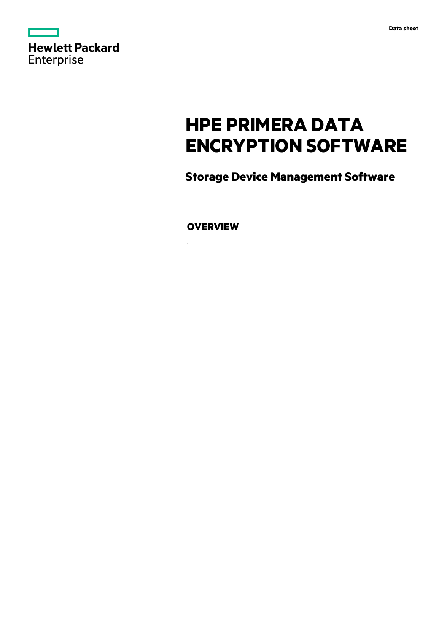

# **HPE PRIMERA DATA ENCRYPTION SOFTWARE**

**Storage Device Management Software**

**OVERVIEW**

.

 $\overline{a}$